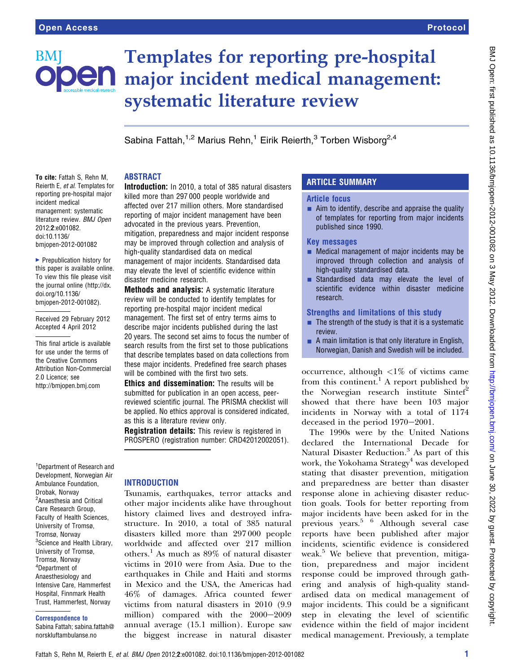# BMI

# Templates for reporting pre-hospital **en** major incident medical management: systematic literature review

Sabina Fattah, <sup>1,2</sup> Marius Rehn, <sup>1</sup> Eirik Reierth, <sup>3</sup> Torben Wisborg<sup>2,4</sup>

# ABSTRACT

To cite: Fattah S, Rehn M, Reierth E, et al. Templates for reporting pre-hospital major incident medical management: systematic literature review. BMJ Open 2012;2:e001082. doi:10.1136/ bmjopen-2012-001082

 $\blacktriangleright$  Prepublication history for this paper is available online. To view this file please visit the journal online (http://dx. doi.org/10.1136/ bmjopen-2012-001082).

Received 29 February 2012 Accepted 4 April 2012

This final article is available for use under the terms of the Creative Commons Attribution Non-Commercial 2.0 Licence; see http://bmjopen.bmj.com

<sup>1</sup>Department of Research and Development, Norwegian Air Ambulance Foundation, Drobak, Norway <sup>2</sup>Anaesthesia and Critical Care Research Group, Faculty of Health Sciences, University of Tromsø, Tromsø, Norway <sup>3</sup>Science and Health Library, University of Tromsø, Tromsø, Norway 4 Department of Anaesthesiology and Intensive Care, Hammerfest Hospital, Finnmark Health Trust, Hammerfest, Norway

### Correspondence to

Sabina Fattah; sabina.fattah@ norskluftambulanse.no

Introduction: In 2010, a total of 385 natural disasters killed more than 297 000 people worldwide and affected over 217 million others. More standardised reporting of major incident management have been advocated in the previous years. Prevention, mitigation, preparedness and major incident response may be improved through collection and analysis of high-quality standardised data on medical management of major incidents. Standardised data may elevate the level of scientific evidence within disaster medicine research.

Methods and analysis: A systematic literature review will be conducted to identify templates for reporting pre-hospital major incident medical management. The first set of entry terms aims to describe major incidents published during the last 20 years. The second set aims to focus the number of search results from the first set to those publications that describe templates based on data collections from these major incidents. Predefined free search phases will be combined with the first two sets.

Ethics and dissemination: The results will be submitted for publication in an open access, peerreviewed scientific journal. The PRISMA checklist will be applied. No ethics approval is considered indicated, as this is a literature review only.

Registration details: This review is registered in PROSPERO (registration number: CRD42012002051).

# INTRODUCTION

Tsunamis, earthquakes, terror attacks and other major incidents alike have throughout history claimed lives and destroyed infrastructure. In 2010, a total of 385 natural disasters killed more than 297 000 people worldwide and affected over 217 million others.<sup>1</sup> As much as  $89\%$  of natural disaster victims in 2010 were from Asia. Due to the earthquakes in Chile and Haiti and storms in Mexico and the USA, the Americas had 46% of damages. Africa counted fewer victims from natural disasters in 2010 (9.9 million) compared with the  $2000-2009$ annual average (15.1 million). Europe saw the biggest increase in natural disaster

# ARTICLE SUMMARY

### Article focus

 $\blacksquare$  Aim to identify, describe and appraise the quality of templates for reporting from major incidents published since 1990.

# Key messages

- $\blacksquare$  Medical management of major incidents may be improved through collection and analysis of high-quality standardised data.
- $\blacksquare$  Standardised data may elevate the level of scientific evidence within disaster medicine research.

# Strengths and limitations of this study

- $\blacksquare$  The strength of the study is that it is a systematic review.
- $\blacksquare$  A main limitation is that only literature in English, Norwegian, Danish and Swedish will be included.

occurrence, although  $\langle 1\%$  of victims came from this continent.<sup>1</sup> A report published by the Norwegian research institute Sintef<sup>2</sup> showed that there have been 103 major incidents in Norway with a total of 1174 deceased in the period  $1970-2001$ .

The 1990s were by the United Nations declared the International Decade for Natural Disaster Reduction.<sup>3</sup> As part of this work, the Yokohama Strategy<sup>4</sup> was developed stating that disaster prevention, mitigation and preparedness are better than disaster response alone in achieving disaster reduction goals. Tools for better reporting from major incidents have been asked for in the previous years.5 6 Although several case reports have been published after major incidents, scientific evidence is considered weak.<sup>5</sup> We believe that prevention, mitigation, preparedness and major incident response could be improved through gathering and analysis of high-quality standardised data on medical management of major incidents. This could be a significant step in elevating the level of scientific evidence within the field of major incident medical management. Previously, a template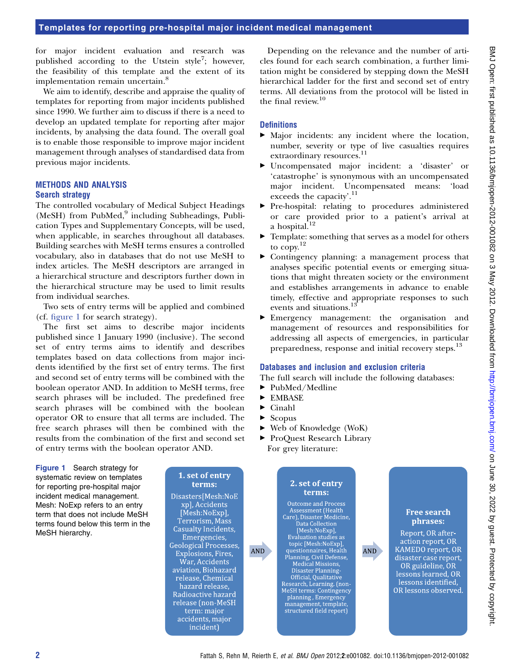for major incident evaluation and research was published according to the Utstein style<sup>7</sup>; however, the feasibility of this template and the extent of its implementation remain uncertain.<sup>8</sup>

We aim to identify, describe and appraise the quality of templates for reporting from major incidents published since 1990. We further aim to discuss if there is a need to develop an updated template for reporting after major incidents, by analysing the data found. The overall goal is to enable those responsible to improve major incident management through analyses of standardised data from previous major incidents.

# METHODS AND ANALYSIS

# Search strategy

The controlled vocabulary of Medical Subject Headings  $(MeSH)$  from PubMed, $9$  including Subheadings, Publication Types and Supplementary Concepts, will be used, when applicable, in searches throughout all databases. Building searches with MeSH terms ensures a controlled vocabulary, also in databases that do not use MeSH to index articles. The MeSH descriptors are arranged in a hierarchical structure and descriptors further down in the hierarchical structure may be used to limit results from individual searches.

Two sets of entry terms will be applied and combined (cf. figure 1 for search strategy).

The first set aims to describe major incidents published since 1 January 1990 (inclusive). The second set of entry terms aims to identify and describes templates based on data collections from major incidents identified by the first set of entry terms. The first and second set of entry terms will be combined with the boolean operator AND. In addition to MeSH terms, free search phrases will be included. The predefined free search phrases will be combined with the boolean operator OR to ensure that all terms are included. The free search phrases will then be combined with the results from the combination of the first and second set of entry terms with the boolean operator AND.

Figure 1 Search strategy for systematic review on templates for reporting pre-hospital major incident medical management. Mesh: NoExp refers to an entry term that does not include MeSH terms found below this term in the MeSH hierarchy.

Depending on the relevance and the number of articles found for each search combination, a further limitation might be considered by stepping down the MeSH hierarchical ladder for the first and second set of entry terms. All deviations from the protocol will be listed in the final review.<sup>10</sup>

# **Definitions**

- < Major incidents: any incident where the location, number, severity or type of live casualties requires extraordinary resources.<sup>11</sup>
- < Uncompensated major incident: a 'disaster' or 'catastrophe' is synonymous with an uncompensated major incident. Uncompensated means: 'load exceeds the capacity'.<sup>11</sup>
- < Pre-hospital: relating to procedures administered or care provided prior to a patient's arrival at a hospital.<sup>12</sup>
- $\blacktriangleright$  Template: something that serves as a model for others to copy.<sup>12</sup>
- $\triangleright$  Contingency planning: a management process that analyses specific potential events or emerging situations that might threaten society or the environment and establishes arrangements in advance to enable timely, effective and appropriate responses to such events and situations.<sup>13</sup>
- < Emergency management: the organisation and management of resources and responsibilities for addressing all aspects of emergencies, in particular preparedness, response and initial recovery steps.<sup>13</sup>

# Databases and inclusion and exclusion criteria

The full search will include the following databases:

- $\blacktriangleright$  PubMed/Medline
- $\blacktriangleright$  EMBASE
- $\blacktriangleright$  Cinahl
- $\blacktriangleright$  Scopus
- ▶ Web of Knowledge (WoK)
- ▶ ProQuest Research Library For grey literature:

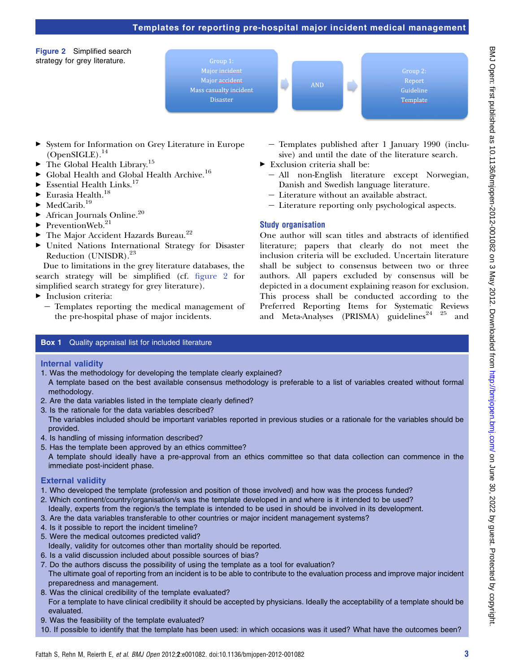# Templates for reporting pre-hospital major incident medical management

Figure 2 Simplified search strategy for grey literature.





Report Template

- ▶ System for Information on Grey Literature in Europe  $(OpenSIGLE).<sup>14</sup>$
- $\blacktriangleright$  The Global Health Library.<sup>15</sup>
- $\blacktriangleright$  Global Health and Global Health Archive.<sup>16</sup>
- $\blacktriangleright$  Essential Health Links.<sup>17</sup>
- $\blacktriangleright$  Eurasia Health.<sup>18</sup>
- $\blacktriangleright$  MedCarib.<sup>19</sup>
- $\blacktriangleright$  African Journals Online.<sup>20</sup>
- $\blacktriangleright$  PreventionWeb.<sup>21</sup>
- $\blacktriangleright$  The Major Accident Hazards Bureau.<sup>22</sup>
- < United Nations International Strategy for Disaster Reduction (UNISDR).23

Due to limitations in the grey literature databases, the search strategy will be simplified (cf. figure 2 for simplified search strategy for grey literature).

- $\blacktriangleright$  Inclusion criteria:
	- $-$  Templates reporting the medical management of the pre-hospital phase of major incidents.
- e Templates published after 1 January 1990 (inclusive) and until the date of the literature search.
- $\blacktriangleright$  Exclusion criteria shall be:
	- All non-English literature except Norwegian, Danish and Swedish language literature.
	- Literature without an available abstract.
	- Literature reporting only psychological aspects.

# Study organisation

One author will scan titles and abstracts of identified literature; papers that clearly do not meet the inclusion criteria will be excluded. Uncertain literature shall be subject to consensus between two or three authors. All papers excluded by consensus will be depicted in a document explaining reason for exclusion. This process shall be conducted according to the Preferred Reporting Items for Systematic Reviews and Meta-Analyses (PRISMA) guidelines<sup>24</sup> <sup>25</sup> and

### **Box 1** Quality appraisal list for included literature

Internal validity

- 1. Was the methodology for developing the template clearly explained? A template based on the best available consensus methodology is preferable to a list of variables created without formal methodology.
- 2. Are the data variables listed in the template clearly defined?
- 3. Is the rationale for the data variables described?

The variables included should be important variables reported in previous studies or a rationale for the variables should be provided.

- 4. Is handling of missing information described?
- 5. Has the template been approved by an ethics committee?
- A template should ideally have a pre-approval from an ethics committee so that data collection can commence in the immediate post-incident phase.

### External validity

- 1. Who developed the template (profession and position of those involved) and how was the process funded?
- 2. Which continent/country/organisation/s was the template developed in and where is it intended to be used? Ideally, experts from the region/s the template is intended to be used in should be involved in its development.
- 3. Are the data variables transferable to other countries or major incident management systems?
- 4. Is it possible to report the incident timeline?
- 5. Were the medical outcomes predicted valid?
- Ideally, validity for outcomes other than mortality should be reported.
- 6. Is a valid discussion included about possible sources of bias?
- 7. Do the authors discuss the possibility of using the template as a tool for evaluation? The ultimate goal of reporting from an incident is to be able to contribute to the evaluation process and improve major incident preparedness and management.
- 8. Was the clinical credibility of the template evaluated? For a template to have clinical credibility it should be accepted by physicians. Ideally the acceptability of a template should be evaluated.
- 9. Was the feasibility of the template evaluated?
- 10. If possible to identify that the template has been used: in which occasions was it used? What have the outcomes been?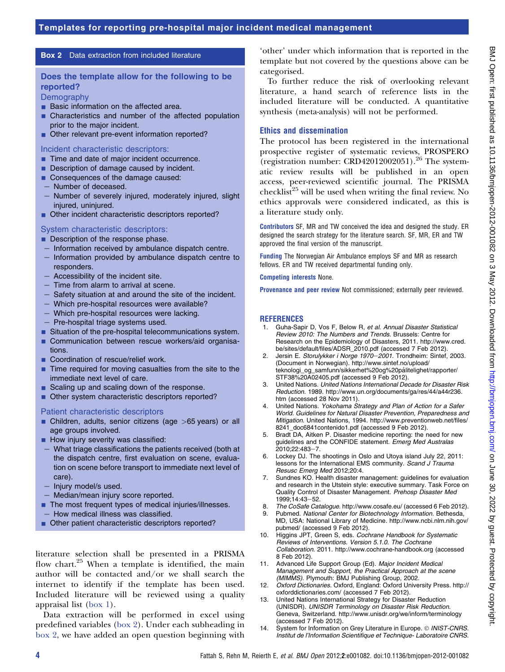# Box 2 Data extraction from included literature

# Does the template allow for the following to be reported?

**Demography** 

- **Basic information on the affected area.**
- Characteristics and number of the affected population prior to the major incident.
- Other relevant pre-event information reported?

#### Incident characteristic descriptors:

- Time and date of major incident occurrence.
- $\blacksquare$  Description of damage caused by incident.
- Consequences of the damage caused:
- Number of deceased.
- Number of severely injured, moderately injured, slight injured, uninjured.
- Other incident characteristic descriptors reported?

### System characteristic descriptors:

- **Description of the response phase.**
- Information received by ambulance dispatch centre.
- Information provided by ambulance dispatch centre to responders.
- Accessibility of the incident site.
- Time from alarm to arrival at scene.
- Safety situation at and around the site of the incident.
- Which pre-hospital resources were available?
- Which pre-hospital resources were lacking.
- Pre-hospital triage systems used.
- **EXTERN** Situation of the pre-hospital telecommunications system.
- **Communication between rescue workers/aid organisa**tions.
- Coordination of rescue/relief work.
- $\blacksquare$  Time required for moving casualties from the site to the immediate next level of care.
- $\blacksquare$  Scaling up and scaling down of the response.
- Other system characteristic descriptors reported?

### Patient characteristic descriptors

- $\blacksquare$  Children, adults, senior citizens (age  $>65$  years) or all age groups involved.
- **How injury severity was classified:**
- $-$  What triage classifications the patients received (both at the dispatch centre, first evaluation on scene, evaluation on scene before transport to immediate next level of care).
- Injury model/s used.
- Median/mean injury score reported.
- The most frequent types of medical injuries/illnesses.
- How medical illness was classified.
- Other patient characteristic descriptors reported?

literature selection shall be presented in a PRISMA flow chart.<sup>25</sup> When a template is identified, the main author will be contacted and/or we shall search the internet to identify if the template has been used. Included literature will be reviewed using a quality appraisal list (box 1).

Data extraction will be performed in excel using predefined variables (box 2). Under each subheading in box 2, we have added an open question beginning with

'other' under which information that is reported in the template but not covered by the questions above can be categorised.

To further reduce the risk of overlooking relevant literature, a hand search of reference lists in the included literature will be conducted. A quantitative synthesis (meta-analysis) will not be performed.

# Ethics and dissemination

The protocol has been registered in the international prospective register of systematic reviews, PROSPERO (registration number: CRD42012002051).<sup>26</sup> The systematic review results will be published in an open access, peer-reviewed scientific journal. The PRISMA  $checklist^{25}$  will be used when writing the final review. No ethics approvals were considered indicated, as this is a literature study only.

Contributors SF, MR and TW conceived the idea and designed the study. ER designed the search strategy for the literature search. SF, MR, ER and TW approved the final version of the manuscript.

Funding The Norwegian Air Ambulance employs SF and MR as research fellows. ER and TW received departmental funding only.

Competing interests None.

Provenance and peer review Not commissioned; externally peer reviewed.

# **REFERENCES**

- 1. Guha-Sapir D, Vos F, Below R, et al. Annual Disaster Statistical Review 2010: The Numbers and Trends. Brussels: Centre for Research on the Epidemiology of Disasters, 2011. http://www.cred. be/sites/default/files/ADSR\_2010.pdf (accessed 7 Feb 2012).
- 2. Jersin E. Storulykker i Norge 1970-2001. Trondheim: Sintef, 2003. (Document in Norwegian). http://www.sintef.no/upload/ teknologi\_og\_samfunn/sikkerhet%20og%20pålitelighet/rapporter/ STF38%20A02405.pdf (accessed 9 Feb 2012).
- 3. United Nations. United Nations International Decade for Disaster Risk Reduction. 1989. http://www.un.org/documents/ga/res/44/a44r236. htm (accessed 28 Nov 2011).
- 4. United Nations. Yokohama Strategy and Plan of Action for a Safer World. Guidelines for Natural Disaster Prevention, Preparedness and Mitigation. United Nations, 1994. http://www.preventionweb.net/files/ 8241\_doc6841contenido1.pdf (accessed 9 Feb 2012).
- 5. Bradt DA, Aitken P. Disaster medicine reporting: the need for new guidelines and the CONFIDE statement. Emerg Med Australas 2010:22:483-7.
- 6. Lockey DJ. The shootings in Oslo and Utoya island July 22, 2011: lessons for the International EMS community. Scand J Trauma Resusc Emerg Med 2012;20:4.
- 7. Sundnes KO. Health disaster management: guidelines for evaluation and research in the Utstein style: executive summary. Task Force on Quality Control of Disaster Management. Prehosp Disaster Med 1999:14:43-52.
- 8. The CoSafe Catalogue. http://www.cosafe.eu/ (accessed 6 Feb 2012).
- 9. Pubmed. National Center for Biotechnology Information. Bethesda, MD, USA: National Library of Medicine. http://www.ncbi.nlm.nih.gov/ pubmed/ (accessed 9 Feb 2012).
- 10. Higgins JPT, Green S, eds. Cochrane Handbook for Systematic Reviews of Interventions. Version 5.1.0. The Cochrane Collaboration. 2011. http://www.cochrane-handbook.org (accessed 8 Feb 2012).
- 11. Advanced Life Support Group (Ed). Major Incident Medical Management and Support, the Practical Approach at the scene (MIMMS). Plymouth: BMJ Publishing Group, 2002.
- 12. Oxford Dictionaries. Oxford, England: Oxford University Press. http:// oxforddictionaries.com/ (accessed 7 Feb 2012).
- 13. United Nations International Strategy for Disaster Reduction (UNISDR). UNISDR Terminology on Disaster Risk Reduction. Geneva, Switzerland. http://www.unisdr.org/we/inform/terminology (accessed 7 Feb 2012).
- 14. System for Information on Grey Literature in Europe. © INIST-CNRS. Institut de l'Information Scientifique et Technique- Laboratoire CNRS.